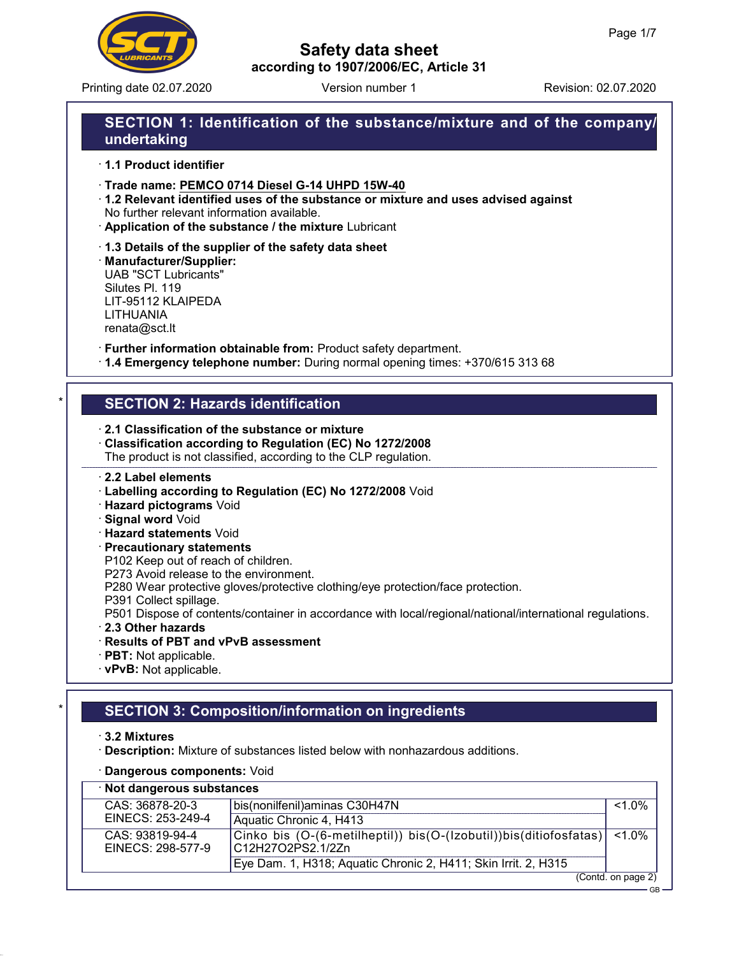

Printing date 02.07.2020 **Revision: 02.07.2020** Version number 1

# Safety data sheet according to 1907/2006/EC, Article 31

# SECTION 1: Identification of the substance/mixture and of the company/ undertaking

· 1.1 Product identifier

· Trade name: PEMCO 0714 Diesel G-14 UHPD 15W-40

- · 1.2 Relevant identified uses of the substance or mixture and uses advised against No further relevant information available.
- · Application of the substance / the mixture Lubricant
- · 1.3 Details of the supplier of the safety data sheet

· Manufacturer/Supplier: UAB "SCT Lubricants" Silutes Pl. 119 LIT-95112 KLAIPEDA LITHUANIA renata@sct.lt

· Further information obtainable from: Product safety department.

· 1.4 Emergency telephone number: During normal opening times: +370/615 313 68

# **SECTION 2: Hazards identification**

- · 2.1 Classification of the substance or mixture
- · Classification according to Regulation (EC) No 1272/2008
- The product is not classified, according to the CLP regulation.

### · 2.2 Label elements

- · Labelling according to Regulation (EC) No 1272/2008 Void
- · Hazard pictograms Void
- · Signal word Void
- · Hazard statements Void
- · Precautionary statements
- P102 Keep out of reach of children.
- P273 Avoid release to the environment.
- P280 Wear protective gloves/protective clothing/eye protection/face protection.
- P391 Collect spillage.
- P501 Dispose of contents/container in accordance with local/regional/national/international regulations.
- · 2.3 Other hazards
- · Results of PBT and vPvB assessment
- · PBT: Not applicable.
- · vPvB: Not applicable.

# **SECTION 3: Composition/information on ingredients**

- · 3.2 Mixtures
- · Description: Mixture of substances listed below with nonhazardous additions.
- · Dangerous components: Void

| · Not dangerous substances           |                                                                                              |           |  |
|--------------------------------------|----------------------------------------------------------------------------------------------|-----------|--|
| CAS: 36878-20-3                      | bis(nonilfenil) aminas C30H47N                                                               | $< 1.0\%$ |  |
| EINECS: 253-249-4                    | Aquatic Chronic 4, H413                                                                      |           |  |
| CAS: 93819-94-4<br>EINECS: 298-577-9 | Cinko bis (O-(6-metilheptil)) bis(O-(Izobutil))bis(ditiofosfatas) <1.0%<br>C12H27O2PS2.1/2Zn |           |  |
|                                      | Eye Dam. 1, H318; Aquatic Chronic 2, H411; Skin Irrit. 2, H315                               |           |  |
| (Contd. on page 2)                   |                                                                                              |           |  |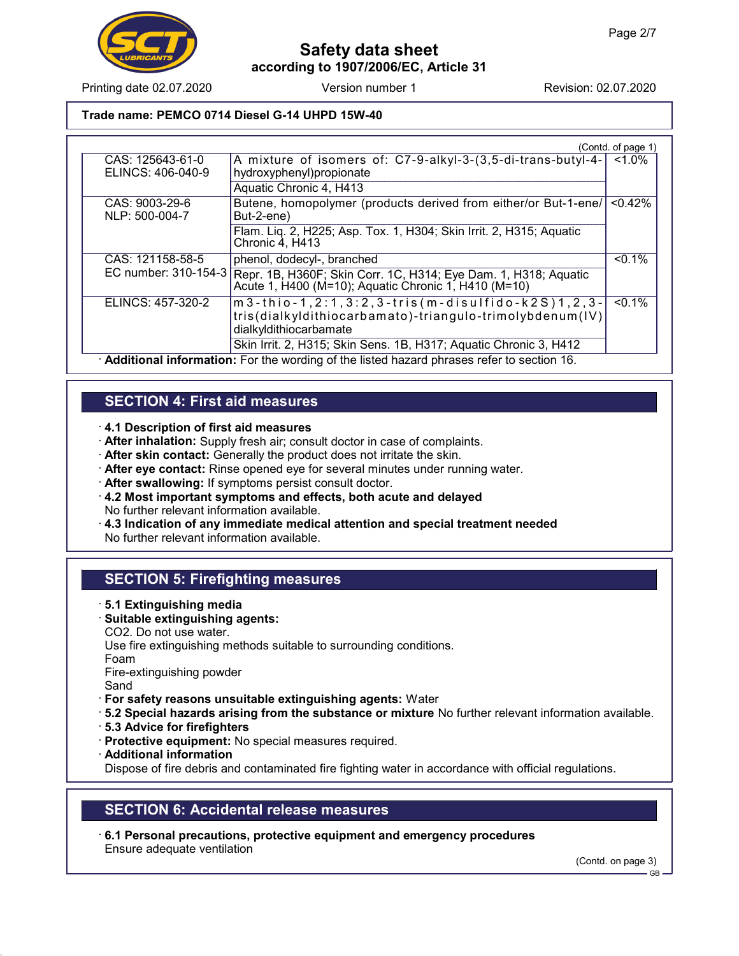

Printing date 02.07.2020 Version number 1 Revision: 02.07.2020

Trade name: PEMCO 0714 Diesel G-14 UHPD 15W-40

|                                                                                           |                                                                                                                                              | (Contd. of page 1) |
|-------------------------------------------------------------------------------------------|----------------------------------------------------------------------------------------------------------------------------------------------|--------------------|
| CAS: 125643-61-0                                                                          | A mixture of isomers of: C7-9-alkyl-3-(3,5-di-trans-butyl-4-                                                                                 | $1.0\%$            |
| ELINCS: 406-040-9                                                                         | hydroxyphenyl)propionate                                                                                                                     |                    |
|                                                                                           | Aquatic Chronic 4, H413                                                                                                                      |                    |
| CAS: 9003-29-6<br>NLP: 500-004-7                                                          | Butene, homopolymer (products derived from either/or But-1-ene/<br>But-2-ene)                                                                | $< 0.42\%$         |
|                                                                                           | Flam. Liq. 2, H225; Asp. Tox. 1, H304; Skin Irrit. 2, H315; Aquatic<br>Chronic 4, H413                                                       |                    |
| CAS: 121158-58-5                                                                          | phenol, dodecyl-, branched                                                                                                                   | $< 0.1\%$          |
|                                                                                           | EC number: 310-154-3 Repr. 1B, H360F; Skin Corr. 1C, H314; Eye Dam. 1, H318; Aquatic<br>Acute 1, H400 (M=10); Aquatic Chronic 1, H410 (M=10) |                    |
| ELINCS: 457-320-2                                                                         | $m3$ -thio-1,2:1,3:2,3-tris(m-disulfido-k2S)1,2,3-                                                                                           | $< 0.1\%$          |
|                                                                                           | tris(dialkyldithiocarbamato)-triangulo-trimolybdenum(IV)<br>dialkyldithiocarbamate                                                           |                    |
|                                                                                           | Skin Irrit. 2, H315; Skin Sens. 1B, H317; Aquatic Chronic 3, H412                                                                            |                    |
| Additional information: For the wording of the listed hazard phrases refer to section 16. |                                                                                                                                              |                    |

### SECTION 4: First aid measures

· 4.1 Description of first aid measures

· After inhalation: Supply fresh air; consult doctor in case of complaints.

- · After skin contact: Generally the product does not irritate the skin.
- · After eye contact: Rinse opened eye for several minutes under running water.
- · After swallowing: If symptoms persist consult doctor.
- · 4.2 Most important symptoms and effects, both acute and delayed No further relevant information available.
- · 4.3 Indication of any immediate medical attention and special treatment needed No further relevant information available.

### SECTION 5: Firefighting measures

- · 5.1 Extinguishing media
- · Suitable extinguishing agents: CO2. Do not use water.

Use fire extinguishing methods suitable to surrounding conditions.

Foam

Fire-extinguishing powder

Sand

- · For safety reasons unsuitable extinguishing agents: Water
- · 5.2 Special hazards arising from the substance or mixture No further relevant information available.
- · 5.3 Advice for firefighters
- · Protective equipment: No special measures required.
- · Additional information

Dispose of fire debris and contaminated fire fighting water in accordance with official regulations.

## SECTION 6: Accidental release measures

· 6.1 Personal precautions, protective equipment and emergency procedures Ensure adequate ventilation

(Contd. on page 3)

GB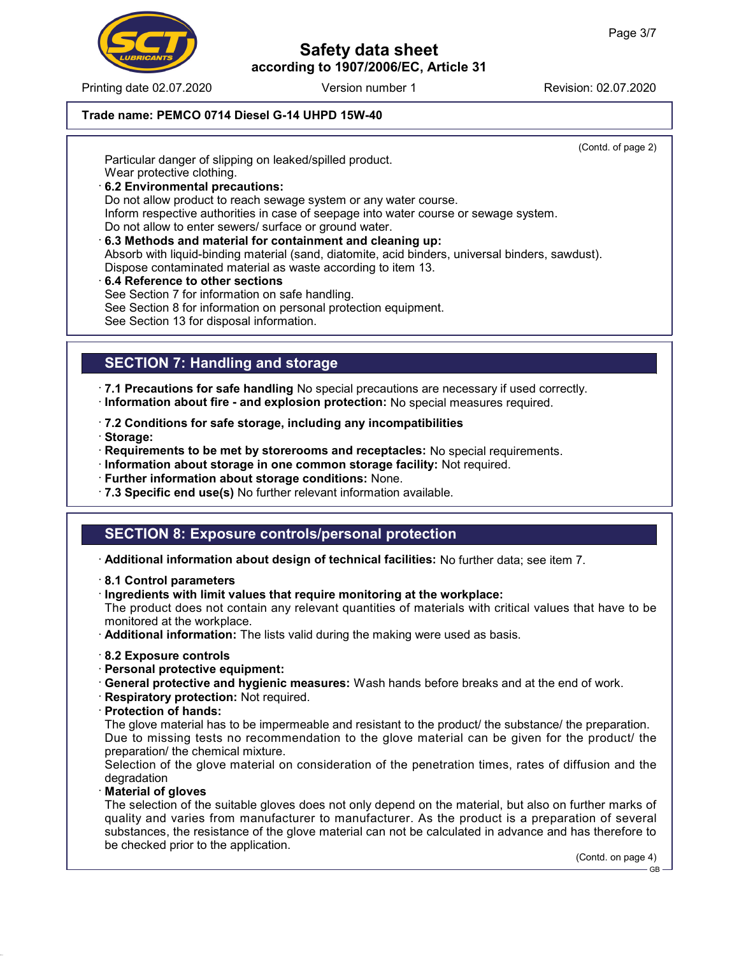Printing date 02.07.2020 **Revision: 02.07.2020** Version number 1

Trade name: PEMCO 0714 Diesel G-14 UHPD 15W-40

(Contd. of page 2)

Particular danger of slipping on leaked/spilled product. Wear protective clothing.

· 6.2 Environmental precautions: Do not allow product to reach sewage system or any water course. Inform respective authorities in case of seepage into water course or sewage system. Do not allow to enter sewers/ surface or ground water. · 6.3 Methods and material for containment and cleaning up:

Absorb with liquid-binding material (sand, diatomite, acid binders, universal binders, sawdust). Dispose contaminated material as waste according to item 13.

· 6.4 Reference to other sections See Section 7 for information on safe handling. See Section 8 for information on personal protection equipment. See Section 13 for disposal information.

### SECTION 7: Handling and storage

· 7.1 Precautions for safe handling No special precautions are necessary if used correctly. · Information about fire - and explosion protection: No special measures required.

- · 7.2 Conditions for safe storage, including any incompatibilities
- · Storage:
- · Requirements to be met by storerooms and receptacles: No special requirements.
- · Information about storage in one common storage facility: Not required.
- · Further information about storage conditions: None.
- · 7.3 Specific end use(s) No further relevant information available.

### SECTION 8: Exposure controls/personal protection

· Additional information about design of technical facilities: No further data; see item 7.

- · 8.1 Control parameters
- · Ingredients with limit values that require monitoring at the workplace:

The product does not contain any relevant quantities of materials with critical values that have to be monitored at the workplace.

· Additional information: The lists valid during the making were used as basis.

- · 8.2 Exposure controls
- · Personal protective equipment:
- · General protective and hygienic measures: Wash hands before breaks and at the end of work.
- · Respiratory protection: Not required.
- · Protection of hands:

The glove material has to be impermeable and resistant to the product/ the substance/ the preparation. Due to missing tests no recommendation to the glove material can be given for the product/ the preparation/ the chemical mixture.

Selection of the glove material on consideration of the penetration times, rates of diffusion and the degradation

· Material of gloves

The selection of the suitable gloves does not only depend on the material, but also on further marks of quality and varies from manufacturer to manufacturer. As the product is a preparation of several substances, the resistance of the glove material can not be calculated in advance and has therefore to be checked prior to the application.

(Contd. on page 4) GB

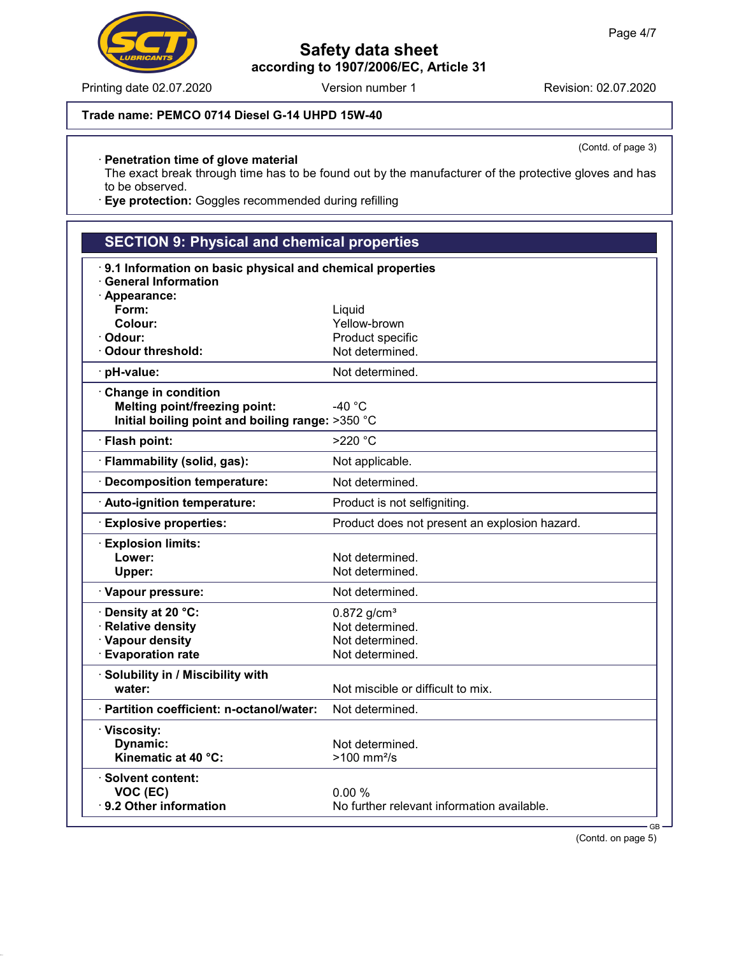Printing date 02.07.2020 Version number 1 Revision: 02.07.2020

(Contd. of page 3)

# Trade name: PEMCO 0714 Diesel G-14 UHPD 15W-40

### · Penetration time of glove material

The exact break through time has to be found out by the manufacturer of the protective gloves and has to be observed.

· Eye protection: Goggles recommended during refilling

| <b>SECTION 9: Physical and chemical properties</b>        |                                               |  |  |
|-----------------------------------------------------------|-----------------------------------------------|--|--|
| 9.1 Information on basic physical and chemical properties |                                               |  |  |
| <b>General Information</b>                                |                                               |  |  |
| · Appearance:                                             |                                               |  |  |
| Form:                                                     | Liquid                                        |  |  |
| Colour:                                                   | Yellow-brown                                  |  |  |
| · Odour:                                                  | Product specific                              |  |  |
| · Odour threshold:                                        | Not determined.                               |  |  |
| pH-value:                                                 | Not determined.                               |  |  |
| Change in condition                                       |                                               |  |  |
| <b>Melting point/freezing point:</b>                      | -40 $^{\circ}$ C                              |  |  |
| Initial boiling point and boiling range: >350 °C          |                                               |  |  |
| · Flash point:                                            | >220 °C                                       |  |  |
| · Flammability (solid, gas):                              | Not applicable.                               |  |  |
| · Decomposition temperature:                              | Not determined.                               |  |  |
| · Auto-ignition temperature:                              | Product is not selfigniting.                  |  |  |
| <b>Explosive properties:</b>                              | Product does not present an explosion hazard. |  |  |
| <b>Explosion limits:</b>                                  |                                               |  |  |
| Lower:                                                    | Not determined.                               |  |  |
| Upper:                                                    | Not determined.                               |  |  |
| · Vapour pressure:                                        | Not determined.                               |  |  |
| Density at 20 °C:                                         | $0.872$ g/cm <sup>3</sup>                     |  |  |
| · Relative density                                        | Not determined.                               |  |  |
| · Vapour density                                          | Not determined.                               |  |  |
| · Evaporation rate                                        | Not determined.                               |  |  |
| · Solubility in / Miscibility with                        |                                               |  |  |
| water:                                                    | Not miscible or difficult to mix.             |  |  |
| · Partition coefficient: n-octanol/water:                 | Not determined.                               |  |  |
| · Viscosity:                                              |                                               |  |  |
| Dynamic:                                                  | Not determined.                               |  |  |
| Kinematic at 40 °C:                                       | >100 mm <sup>2</sup> /s                       |  |  |
| $\cdot$ Solvent content:                                  |                                               |  |  |
| VOC (EC)                                                  | 0.00%                                         |  |  |
| 9.2 Other information                                     | No further relevant information available.    |  |  |
|                                                           | $GB -$                                        |  |  |

(Contd. on page 5)

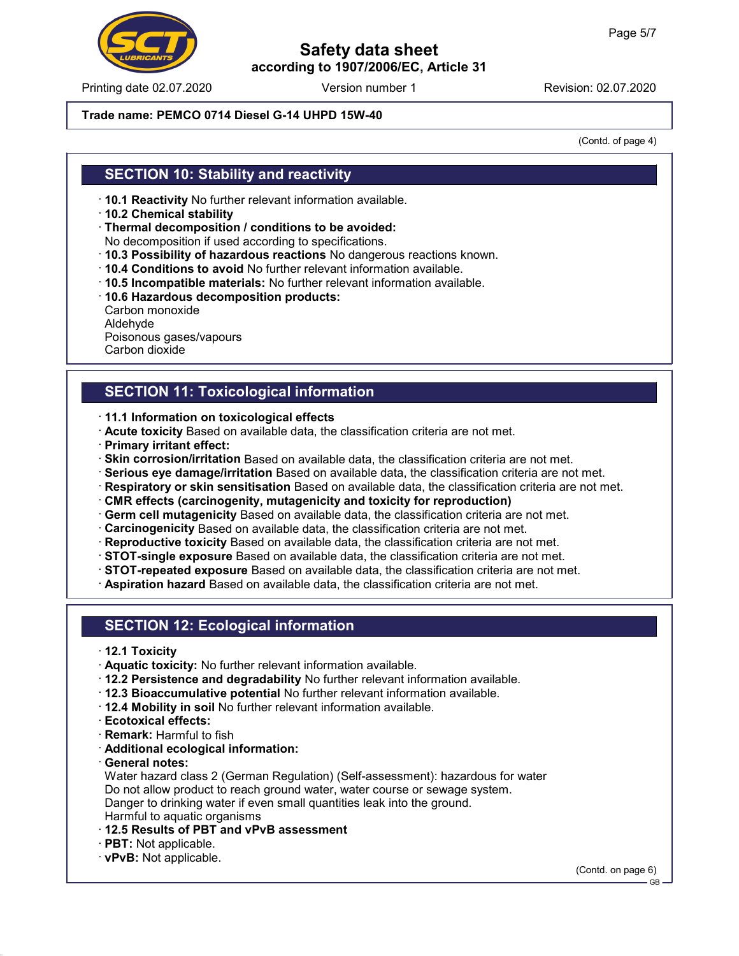Printing date 02.07.2020 **Revision: 02.07.2020** Version number 1

## Safety data sheet according to 1907/2006/EC, Article 31

### Trade name: PEMCO 0714 Diesel G-14 UHPD 15W-40

(Contd. of page 4)

### SECTION 10: Stability and reactivity

- · 10.1 Reactivity No further relevant information available.
- · 10.2 Chemical stability
- · Thermal decomposition / conditions to be avoided:
- No decomposition if used according to specifications.
- · 10.3 Possibility of hazardous reactions No dangerous reactions known.
- · 10.4 Conditions to avoid No further relevant information available.
- · 10.5 Incompatible materials: No further relevant information available.
- · 10.6 Hazardous decomposition products:
- Carbon monoxide Aldehyde Poisonous gases/vapours Carbon dioxide

## SECTION 11: Toxicological information

- · 11.1 Information on toxicological effects
- · Acute toxicity Based on available data, the classification criteria are not met.
- · Primary irritant effect:
- · Skin corrosion/irritation Based on available data, the classification criteria are not met.
- · Serious eye damage/irritation Based on available data, the classification criteria are not met.
- · Respiratory or skin sensitisation Based on available data, the classification criteria are not met.
- · CMR effects (carcinogenity, mutagenicity and toxicity for reproduction)
- · Germ cell mutagenicity Based on available data, the classification criteria are not met.
- · Carcinogenicity Based on available data, the classification criteria are not met.
- · Reproductive toxicity Based on available data, the classification criteria are not met.
- · STOT-single exposure Based on available data, the classification criteria are not met.
- · STOT-repeated exposure Based on available data, the classification criteria are not met.
- · Aspiration hazard Based on available data, the classification criteria are not met.

### SECTION 12: Ecological information

- · 12.1 Toxicity
- · Aquatic toxicity: No further relevant information available.
- · 12.2 Persistence and degradability No further relevant information available.
- · 12.3 Bioaccumulative potential No further relevant information available.
- · 12.4 Mobility in soil No further relevant information available.
- · Ecotoxical effects:
- · Remark: Harmful to fish
- · Additional ecological information:
- · General notes:

Water hazard class 2 (German Regulation) (Self-assessment): hazardous for water Do not allow product to reach ground water, water course or sewage system. Danger to drinking water if even small quantities leak into the ground. Harmful to aquatic organisms

- · 12.5 Results of PBT and vPvB assessment
- · PBT: Not applicable.
- · vPvB: Not applicable.

(Contd. on page 6)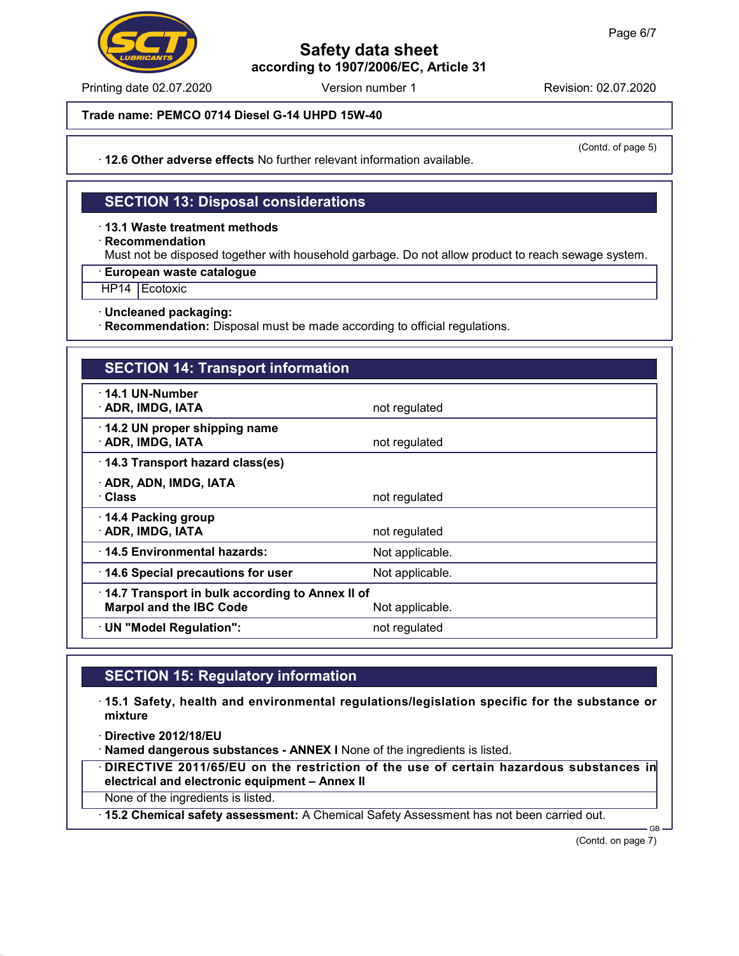Printing date 02.07.2020 **Revision: 02.07.2020** Version number 1

(Contd. of page 5)

Trade name: PEMCO 0714 Diesel G-14 UHPD 15W-40

· 12.6 Other adverse effects No further relevant information available.

# SECTION 13: Disposal considerations

· 13.1 Waste treatment methods

· Recommendation

Must not be disposed together with household garbage. Do not allow product to reach sewage system.

· European waste catalogue

HP14 Ecotoxic

· Uncleaned packaging:

· Recommendation: Disposal must be made according to official regulations.

## SECTION 14: Transport information

| · 14.1 UN-Number<br>· ADR, IMDG, IATA                                                                | not regulated   |  |
|------------------------------------------------------------------------------------------------------|-----------------|--|
| $\cdot$ 14.2 UN proper shipping name<br>· ADR, IMDG, IATA                                            | not regulated   |  |
| 14.3 Transport hazard class(es)                                                                      |                 |  |
| · ADR, ADN, IMDG, IATA<br>· Class                                                                    | not regulated   |  |
| $\cdot$ 14.4 Packing group<br>· ADR, IMDG, IATA                                                      | not regulated   |  |
| 14.5 Environmental hazards:                                                                          | Not applicable. |  |
| 14.6 Special precautions for user                                                                    | Not applicable. |  |
| 14.7 Transport in bulk according to Annex II of<br><b>Marpol and the IBC Code</b><br>Not applicable. |                 |  |
| $\cdot$ UN "Model Regulation":                                                                       | not regulated   |  |
|                                                                                                      |                 |  |

### SECTION 15: Regulatory information

· 15.1 Safety, health and environmental regulations/legislation specific for the substance or mixture

· Directive 2012/18/EU

· Named dangerous substances - ANNEX I None of the ingredients is listed.

· DIRECTIVE 2011/65/EU on the restriction of the use of certain hazardous substances in electrical and electronic equipment – Annex II

None of the ingredients is listed.

· 15.2 Chemical safety assessment: A Chemical Safety Assessment has not been carried out.

(Contd. on page 7)

GB